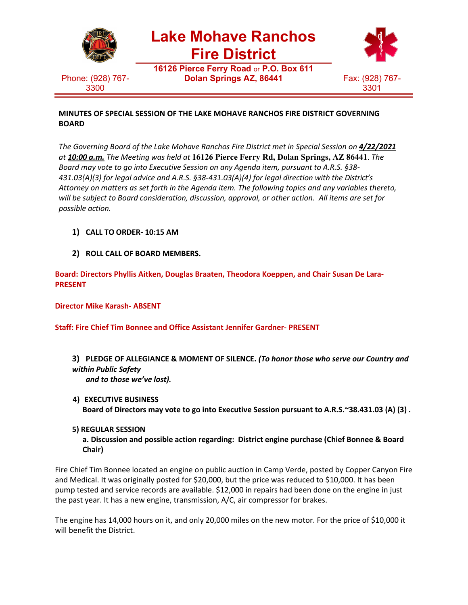

## **MINUTES OF SPECIAL SESSION OF THE LAKE MOHAVE RANCHOS FIRE DISTRICT GOVERNING BOARD**

*The Governing Board of the Lake Mohave Ranchos Fire District met in Special Session on 4/22/2021 at 10:00 a.m. The Meeting was held at* **16126 Pierce Ferry Rd, Dolan Springs, AZ 86441**. *The Board may vote to go into Executive Session on any Agenda item, pursuant to A.R.S. §38- 431.03(A)(3) for legal advice and A.R.S. §38-431.03(A)(4) for legal direction with the District's Attorney on matters as set forth in the Agenda item. The following topics and any variables thereto, will be subject to Board consideration, discussion, approval, or other action. All items are set for possible action.*

- **1) CALL TO ORDER- 10:15 AM**
- **2) ROLL CALL OF BOARD MEMBERS.**

**Board: Directors Phyllis Aitken, Douglas Braaten, Theodora Koeppen, and Chair Susan De Lara-PRESENT**

**Director Mike Karash- ABSENT**

**Staff: Fire Chief Tim Bonnee and Office Assistant Jennifer Gardner- PRESENT**

- **3) PLEDGE OF ALLEGIANCE & MOMENT OF SILENCE.** *(To honor those who serve our Country and within Public Safety and to those we've lost).*
- **4) EXECUTIVE BUSINESS Board of Directors may vote to go into Executive Session pursuant to A.R.S.~38.431.03 (A) (3) .**
- **5) REGULAR SESSION**

**a. Discussion and possible action regarding: District engine purchase (Chief Bonnee & Board Chair)**

Fire Chief Tim Bonnee located an engine on public auction in Camp Verde, posted by Copper Canyon Fire and Medical. It was originally posted for \$20,000, but the price was reduced to \$10,000. It has been pump tested and service records are available. \$12,000 in repairs had been done on the engine in just the past year. It has a new engine, transmission, A/C, air compressor for brakes.

The engine has 14,000 hours on it, and only 20,000 miles on the new motor. For the price of \$10,000 it will benefit the District.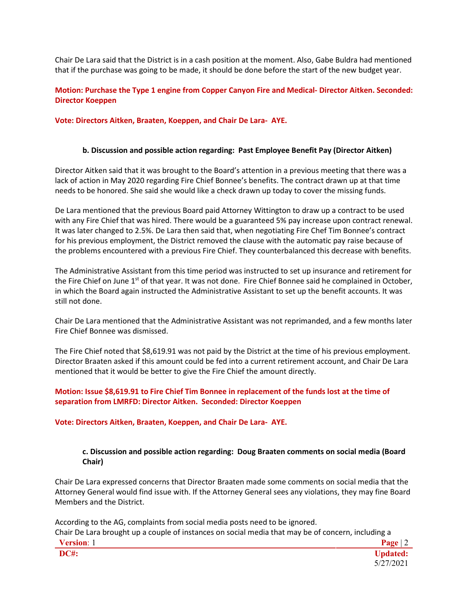Chair De Lara said that the District is in a cash position at the moment. Also, Gabe Buldra had mentioned that if the purchase was going to be made, it should be done before the start of the new budget year.

# **Motion: Purchase the Type 1 engine from Copper Canyon Fire and Medical- Director Aitken. Seconded: Director Koeppen**

**Vote: Directors Aitken, Braaten, Koeppen, and Chair De Lara- AYE.**

## **b. Discussion and possible action regarding: Past Employee Benefit Pay (Director Aitken)**

Director Aitken said that it was brought to the Board's attention in a previous meeting that there was a lack of action in May 2020 regarding Fire Chief Bonnee's benefits. The contract drawn up at that time needs to be honored. She said she would like a check drawn up today to cover the missing funds.

De Lara mentioned that the previous Board paid Attorney Wittington to draw up a contract to be used with any Fire Chief that was hired. There would be a guaranteed 5% pay increase upon contract renewal. It was later changed to 2.5%. De Lara then said that, when negotiating Fire Chef Tim Bonnee's contract for his previous employment, the District removed the clause with the automatic pay raise because of the problems encountered with a previous Fire Chief. They counterbalanced this decrease with benefits.

The Administrative Assistant from this time period was instructed to set up insurance and retirement for the Fire Chief on June 1<sup>st</sup> of that year. It was not done. Fire Chief Bonnee said he complained in October, in which the Board again instructed the Administrative Assistant to set up the benefit accounts. It was still not done.

Chair De Lara mentioned that the Administrative Assistant was not reprimanded, and a few months later Fire Chief Bonnee was dismissed.

The Fire Chief noted that \$8,619.91 was not paid by the District at the time of his previous employment. Director Braaten asked if this amount could be fed into a current retirement account, and Chair De Lara mentioned that it would be better to give the Fire Chief the amount directly.

## **Motion: Issue \$8,619.91 to Fire Chief Tim Bonnee in replacement of the funds lost at the time of separation from LMRFD: Director Aitken. Seconded: Director Koeppen**

#### **Vote: Directors Aitken, Braaten, Koeppen, and Chair De Lara- AYE.**

## **c. Discussion and possible action regarding: Doug Braaten comments on social media (Board Chair)**

Chair De Lara expressed concerns that Director Braaten made some comments on social media that the Attorney General would find issue with. If the Attorney General sees any violations, they may fine Board Members and the District.

According to the AG, complaints from social media posts need to be ignored. Chair De Lara brought up a couple of instances on social media that may be of concern, including a

| $\mathbf{X}$<br>---- <del>-</del> ---- |  |
|----------------------------------------|--|
| DC#                                    |  |